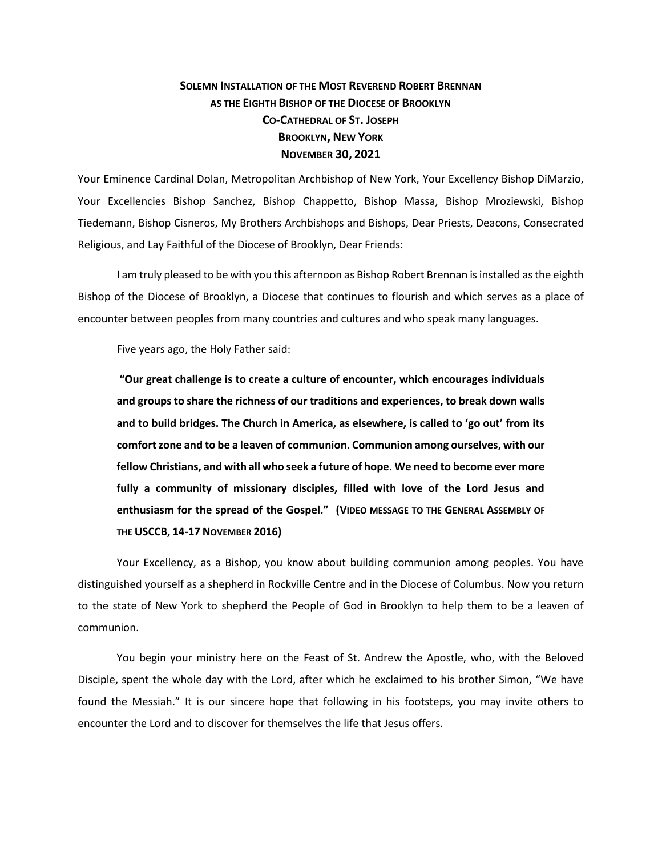## **SOLEMN INSTALLATION OF THE MOST REVEREND ROBERT BRENNAN AS THE EIGHTH BISHOP OF THE DIOCESE OF BROOKLYN CO-CATHEDRAL OF ST. JOSEPH BROOKLYN, NEW YORK NOVEMBER 30, 2021**

Your Eminence Cardinal Dolan, Metropolitan Archbishop of New York, Your Excellency Bishop DiMarzio, Your Excellencies Bishop Sanchez, Bishop Chappetto, Bishop Massa, Bishop Mroziewski, Bishop Tiedemann, Bishop Cisneros, My Brothers Archbishops and Bishops, Dear Priests, Deacons, Consecrated Religious, and Lay Faithful of the Diocese of Brooklyn, Dear Friends:

I am truly pleased to be with you this afternoon as Bishop Robert Brennan is installed as the eighth Bishop of the Diocese of Brooklyn, a Diocese that continues to flourish and which serves as a place of encounter between peoples from many countries and cultures and who speak many languages.

Five years ago, the Holy Father said:

**"Our great challenge is to create a culture of encounter, which encourages individuals and groups to share the richness of our traditions and experiences, to break down walls and to build bridges. The Church in America, as elsewhere, is called to 'go out' from its comfort zone and to be a leaven of communion. Communion among ourselves, with our fellow Christians, and with all who seek a future of hope. We need to become ever more fully a community of missionary disciples, filled with love of the Lord Jesus and enthusiasm for the spread of the Gospel." (VIDEO MESSAGE TO THE GENERAL ASSEMBLY OF THE USCCB, 14-17 NOVEMBER 2016)**

Your Excellency, as a Bishop, you know about building communion among peoples. You have distinguished yourself as a shepherd in Rockville Centre and in the Diocese of Columbus. Now you return to the state of New York to shepherd the People of God in Brooklyn to help them to be a leaven of communion.

You begin your ministry here on the Feast of St. Andrew the Apostle, who, with the Beloved Disciple, spent the whole day with the Lord, after which he exclaimed to his brother Simon, "We have found the Messiah." It is our sincere hope that following in his footsteps, you may invite others to encounter the Lord and to discover for themselves the life that Jesus offers.